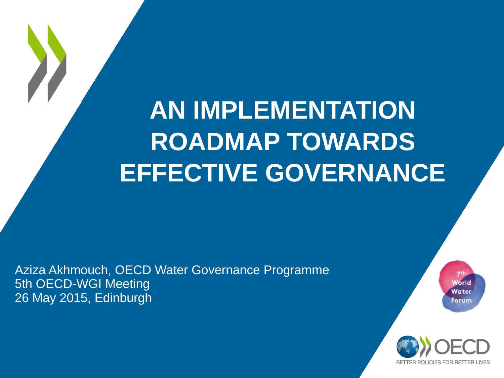# **AN IMPLEMENTATION ROADMAP TOWARDS EFFECTIVE GOVERNANCE**

Aziza Akhmouch, OECD Water Governance Programme 5th OECD-WGI Meeting 26 May 2015, Edinburgh

World **Nater** Forum

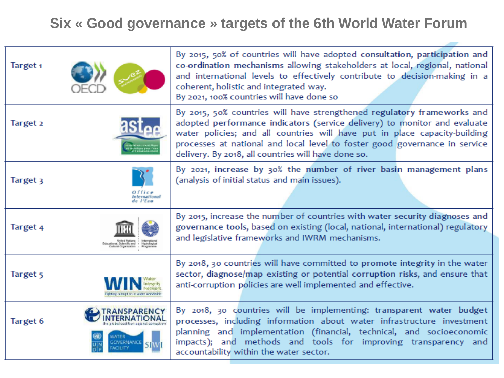### **Six « Good governance » targets of the 6th World Water Forum**

| Target <sub>1</sub> |                                      | By 2015, 50% of countries will have adopted consultation, participation and<br>co-ordination mechanisms allowing stakeholders at local, regional, national<br>and international levels to effectively contribute to decision-making in a<br>coherent, holistic and integrated way.<br>By 2021, 100% countries will have done so                                         |
|---------------------|--------------------------------------|-------------------------------------------------------------------------------------------------------------------------------------------------------------------------------------------------------------------------------------------------------------------------------------------------------------------------------------------------------------------------|
| Target <sub>2</sub> |                                      | By 2015, 50% countries will have strengthened regulatory frameworks and<br>adopted performance indicators (service delivery) to monitor and evaluate<br>water policies; and all countries will have put in place capacity-building<br>processes at national and local level to foster good governance in service<br>delivery. By 2018, all countries will have done so. |
| Target 3            |                                      | By 2021, increase by 30% the number of river basin management plans<br>(analysis of initial status and main issues).                                                                                                                                                                                                                                                    |
| Target 4            | Scientific and<br><b>Hydrofogica</b> | By 2015, increase the number of countries with water security diagnoses and<br>governance tools, based on existing (local, national, international) regulatory<br>and legislative frameworks and IWRM mechanisms.                                                                                                                                                       |
| Target 5            |                                      | By 2018, 30 countries will have committed to promote integrity in the water<br>sector, diagnose/map existing or potential corruption risks, and ensure that<br>anti-corruption policies are well implemented and effective.                                                                                                                                             |
| Target 6            | e clobal coalition against comuption | By 2018, 30 countries will be implementing: transparent water budget<br>processes, including information about water infrastructure investment<br>planning and implementation (financial, technical, and socioeconomic<br>impacts); and methods and tools for improving transparency and<br>accountability within the water sector.                                     |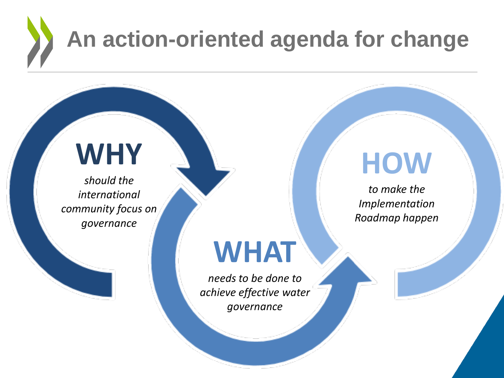# **An action-oriented agenda for change**

### **WHY**

*should the international community focus on governance*

# **HOW**

*to make the Implementation Roadmap happen*

# **WHAT**

*needs to be done to achieve effective water governance*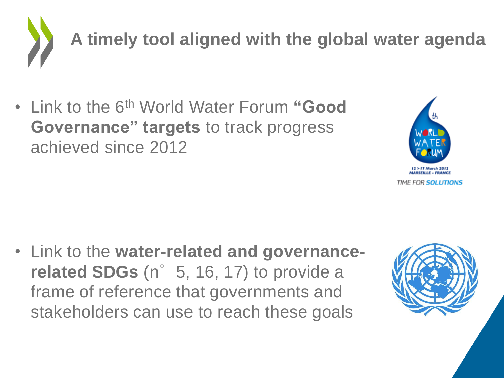

• Link to the 6th World Water Forum **"Good Governance" targets** to track progress achieved since 2012



• Link to the **water-related and governancerelated SDGs** (n° 5, 16, 17) to provide a frame of reference that governments and stakeholders can use to reach these goals

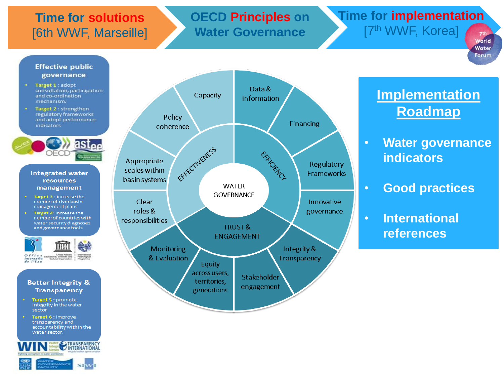#### **Time for solutions**  [6th WWF, Marseille]

#### **OECD Principles on Water Governance**

### **Time for implementation**

[7th WWF, Korea]



#### **Effective public** governance

- Target 1: adopt  $\sim$ consultation, participation and co-ordination mechanism.
- Target 2 : strengthen **A** regulatory frameworks and adopt performance indicators



#### **Integrated water** resources management

- Target 3 : increase the number of river basin management plans
- Target 4: increase the number of countries with water security diagnoses and governance tools



#### **Better Integrity & Transparency**

- Target 5 : promote integrity in the water sector
- Target 6 : improve transparency and accountability within the water sector.





### **Implementation Roadmap**

- **Water governance indicators**
- **Good practices**
- **International references**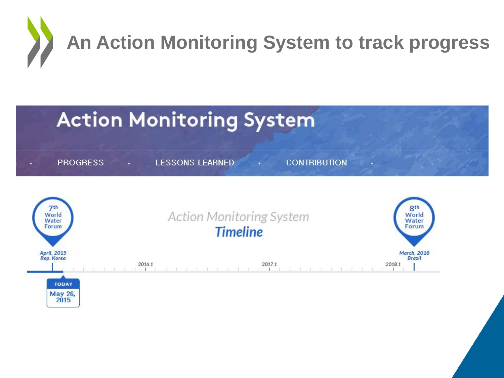

### **An Action Monitoring System to track progress**